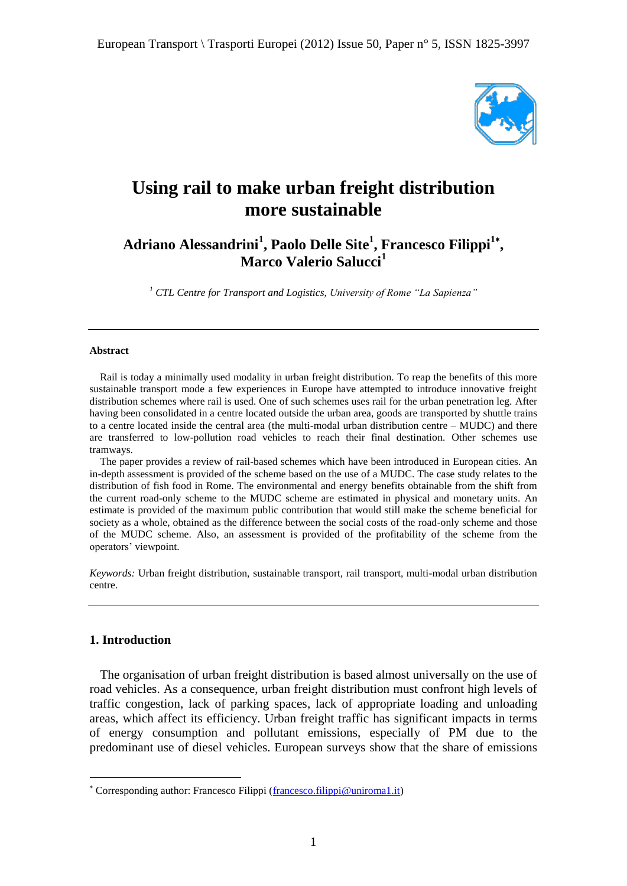

# **Using rail to make urban freight distribution more sustainable**

## **Adriano Alessandrini<sup>1</sup> , Paolo Delle Site<sup>1</sup> , Francesco Filippi<sup>1</sup> , Marco Valerio Salucci<sup>1</sup>**

*<sup>1</sup> CTL Centre for Transport and Logistics, University of Rome "La Sapienza"*

#### **Abstract**

Rail is today a minimally used modality in urban freight distribution. To reap the benefits of this more sustainable transport mode a few experiences in Europe have attempted to introduce innovative freight distribution schemes where rail is used. One of such schemes uses rail for the urban penetration leg. After having been consolidated in a centre located outside the urban area, goods are transported by shuttle trains to a centre located inside the central area (the multi-modal urban distribution centre – MUDC) and there are transferred to low-pollution road vehicles to reach their final destination. Other schemes use tramways.

The paper provides a review of rail-based schemes which have been introduced in European cities. An in-depth assessment is provided of the scheme based on the use of a MUDC. The case study relates to the distribution of fish food in Rome. The environmental and energy benefits obtainable from the shift from the current road-only scheme to the MUDC scheme are estimated in physical and monetary units. An estimate is provided of the maximum public contribution that would still make the scheme beneficial for society as a whole, obtained as the difference between the social costs of the road-only scheme and those of the MUDC scheme. Also, an assessment is provided of the profitability of the scheme from the operators' viewpoint.

*Keywords:* Urban freight distribution, sustainable transport, rail transport, multi-modal urban distribution centre.

#### **1. Introduction**

1

The organisation of urban freight distribution is based almost universally on the use of road vehicles. As a consequence, urban freight distribution must confront high levels of traffic congestion, lack of parking spaces, lack of appropriate loading and unloading areas, which affect its efficiency. Urban freight traffic has significant impacts in terms of energy consumption and pollutant emissions, especially of PM due to the predominant use of diesel vehicles. European surveys show that the share of emissions

Corresponding author: Francesco Filippi [\(francesco.filippi@uniroma1.it\)](mailto:francesco.filippi@uniroma1.it)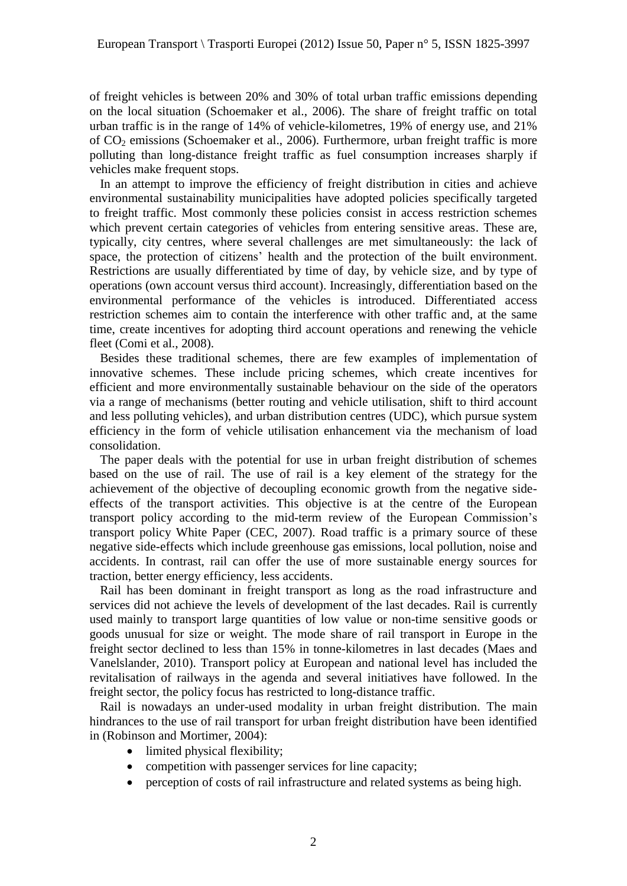of freight vehicles is between 20% and 30% of total urban traffic emissions depending on the local situation (Schoemaker et al., 2006). The share of freight traffic on total urban traffic is in the range of 14% of vehicle-kilometres, 19% of energy use, and 21% of  $CO<sub>2</sub>$  emissions (Schoemaker et al., 2006). Furthermore, urban freight traffic is more polluting than long-distance freight traffic as fuel consumption increases sharply if vehicles make frequent stops.

In an attempt to improve the efficiency of freight distribution in cities and achieve environmental sustainability municipalities have adopted policies specifically targeted to freight traffic. Most commonly these policies consist in access restriction schemes which prevent certain categories of vehicles from entering sensitive areas. These are, typically, city centres, where several challenges are met simultaneously: the lack of space, the protection of citizens' health and the protection of the built environment. Restrictions are usually differentiated by time of day, by vehicle size, and by type of operations (own account versus third account). Increasingly, differentiation based on the environmental performance of the vehicles is introduced. Differentiated access restriction schemes aim to contain the interference with other traffic and, at the same time, create incentives for adopting third account operations and renewing the vehicle fleet (Comi et al., 2008).

Besides these traditional schemes, there are few examples of implementation of innovative schemes. These include pricing schemes, which create incentives for efficient and more environmentally sustainable behaviour on the side of the operators via a range of mechanisms (better routing and vehicle utilisation, shift to third account and less polluting vehicles), and urban distribution centres (UDC), which pursue system efficiency in the form of vehicle utilisation enhancement via the mechanism of load consolidation.

The paper deals with the potential for use in urban freight distribution of schemes based on the use of rail. The use of rail is a key element of the strategy for the achievement of the objective of decoupling economic growth from the negative sideeffects of the transport activities. This objective is at the centre of the European transport policy according to the mid-term review of the European Commission"s transport policy White Paper (CEC, 2007). Road traffic is a primary source of these negative side-effects which include greenhouse gas emissions, local pollution, noise and accidents. In contrast, rail can offer the use of more sustainable energy sources for traction, better energy efficiency, less accidents.

Rail has been dominant in freight transport as long as the road infrastructure and services did not achieve the levels of development of the last decades. Rail is currently used mainly to transport large quantities of low value or non-time sensitive goods or goods unusual for size or weight. The mode share of rail transport in Europe in the freight sector declined to less than 15% in tonne-kilometres in last decades (Maes and Vanelslander, 2010). Transport policy at European and national level has included the revitalisation of railways in the agenda and several initiatives have followed. In the freight sector, the policy focus has restricted to long-distance traffic.

Rail is nowadays an under-used modality in urban freight distribution. The main hindrances to the use of rail transport for urban freight distribution have been identified in (Robinson and Mortimer, 2004):

- limited physical flexibility;
- competition with passenger services for line capacity;
- perception of costs of rail infrastructure and related systems as being high.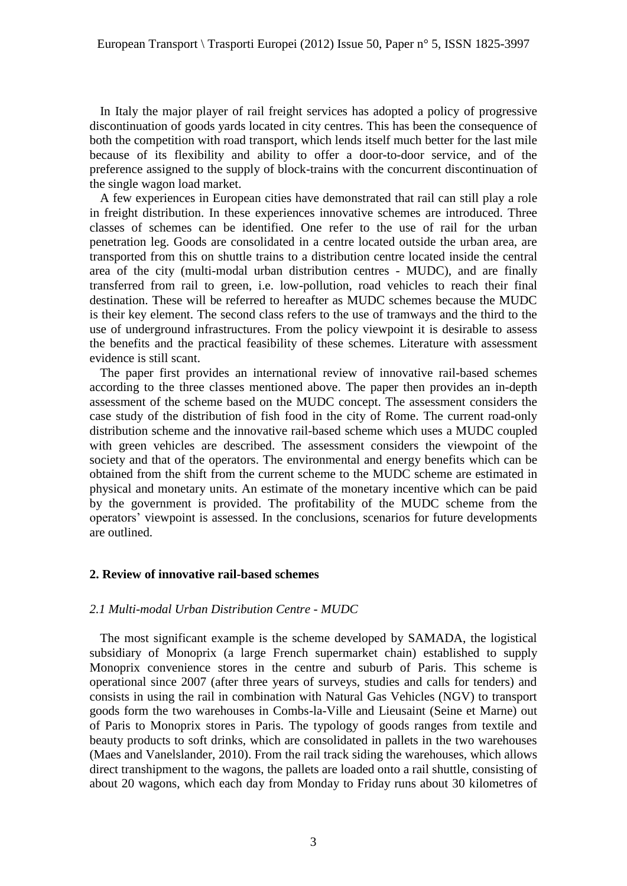In Italy the major player of rail freight services has adopted a policy of progressive discontinuation of goods yards located in city centres. This has been the consequence of both the competition with road transport, which lends itself much better for the last mile because of its flexibility and ability to offer a door-to-door service, and of the preference assigned to the supply of block-trains with the concurrent discontinuation of the single wagon load market.

A few experiences in European cities have demonstrated that rail can still play a role in freight distribution. In these experiences innovative schemes are introduced. Three classes of schemes can be identified. One refer to the use of rail for the urban penetration leg. Goods are consolidated in a centre located outside the urban area, are transported from this on shuttle trains to a distribution centre located inside the central area of the city (multi-modal urban distribution centres - MUDC), and are finally transferred from rail to green, i.e. low-pollution, road vehicles to reach their final destination. These will be referred to hereafter as MUDC schemes because the MUDC is their key element. The second class refers to the use of tramways and the third to the use of underground infrastructures. From the policy viewpoint it is desirable to assess the benefits and the practical feasibility of these schemes. Literature with assessment evidence is still scant.

The paper first provides an international review of innovative rail-based schemes according to the three classes mentioned above. The paper then provides an in-depth assessment of the scheme based on the MUDC concept. The assessment considers the case study of the distribution of fish food in the city of Rome. The current road-only distribution scheme and the innovative rail-based scheme which uses a MUDC coupled with green vehicles are described. The assessment considers the viewpoint of the society and that of the operators. The environmental and energy benefits which can be obtained from the shift from the current scheme to the MUDC scheme are estimated in physical and monetary units. An estimate of the monetary incentive which can be paid by the government is provided. The profitability of the MUDC scheme from the operators" viewpoint is assessed. In the conclusions, scenarios for future developments are outlined.

#### **2. Review of innovative rail-based schemes**

#### *2.1 Multi-modal Urban Distribution Centre - MUDC*

The most significant example is the scheme developed by SAMADA, the logistical subsidiary of Monoprix (a large French supermarket chain) established to supply Monoprix convenience stores in the centre and suburb of Paris. This scheme is operational since 2007 (after three years of surveys, studies and calls for tenders) and consists in using the rail in combination with Natural Gas Vehicles (NGV) to transport goods form the two warehouses in Combs-la-Ville and Lieusaint (Seine et Marne) out of Paris to Monoprix stores in Paris. The typology of goods ranges from textile and beauty products to soft drinks, which are consolidated in pallets in the two warehouses (Maes and Vanelslander, 2010). From the rail track siding the warehouses, which allows direct transhipment to the wagons, the pallets are loaded onto a rail shuttle, consisting of about 20 wagons, which each day from Monday to Friday runs about 30 kilometres of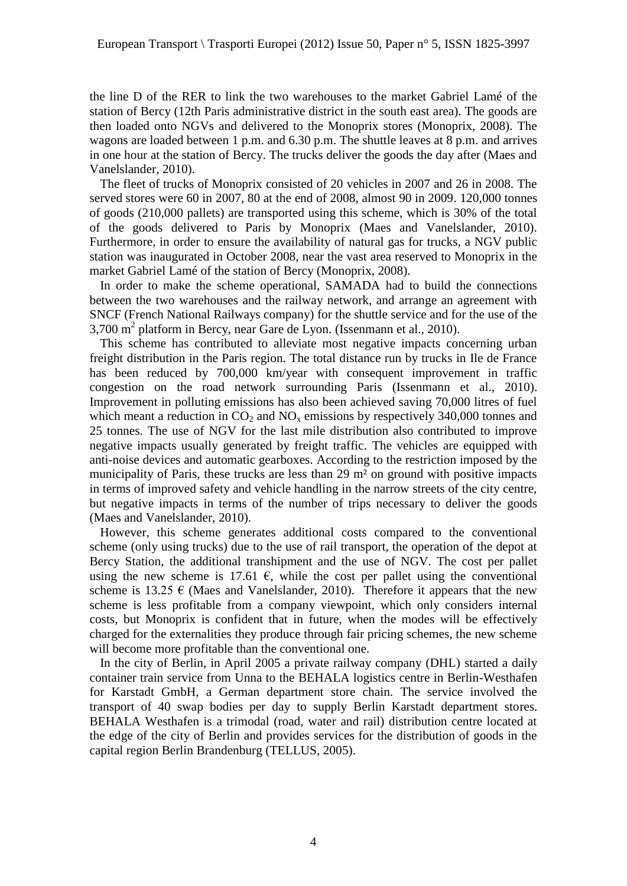the line D of the RER to link the two warehouses to the market Gabriel Lamé of the station of Bercy (12th Paris administrative district in the south east area). The goods are then loaded onto NGVs and delivered to the Monoprix stores (Monoprix, 2008). The wagons are loaded between 1 p.m. and 6.30 p.m. The shuttle leaves at 8 p.m. and arrives in one hour at the station of Bercy. The trucks deliver the goods the day after (Maes and Vanelslander, 2010).

The fleet of trucks of Monoprix consisted of 20 vehicles in 2007 and 26 in 2008. The served stores were 60 in 2007, 80 at the end of 2008, almost 90 in 2009. 120,000 tonnes of goods (210,000 pallets) are transported using this scheme, which is 30% of the total of the goods delivered to Paris by Monoprix (Maes and Vanelslander, 2010). Furthermore, in order to ensure the availability of natural gas for trucks, a NGV public station was inaugurated in October 2008, near the vast area reserved to Monoprix in the market Gabriel Lamé of the station of Bercy (Monoprix, 2008).

In order to make the scheme operational, SAMADA had to build the connections between the two warehouses and the railway network, and arrange an agreement with SNCF (French National Railways company) for the shuttle service and for the use of the 3,700 m<sup>2</sup> platform in Bercy, near Gare de Lyon. (Issenmann et al., 2010).

This scheme has contributed to alleviate most negative impacts concerning urban freight distribution in the Paris region. The total distance run by trucks in Ile de France has been reduced by 700,000 km/year with consequent improvement in traffic congestion on the road network surrounding Paris (Issenmann et al., 2010). Improvement in polluting emissions has also been achieved saving 70,000 litres of fuel which meant a reduction in  $CO<sub>2</sub>$  and  $NO<sub>x</sub>$  emissions by respectively 340,000 tonnes and 25 tonnes. The use of NGV for the last mile distribution also contributed to improve negative impacts usually generated by freight traffic. The vehicles are equipped with anti-noise devices and automatic gearboxes. According to the restriction imposed by the municipality of Paris, these trucks are less than 29 m² on ground with positive impacts in terms of improved safety and vehicle handling in the narrow streets of the city centre, but negative impacts in terms of the number of trips necessary to deliver the goods (Maes and Vanelslander, 2010).

However, this scheme generates additional costs compared to the conventional scheme (only using trucks) due to the use of rail transport, the operation of the depot at Bercy Station, the additional transhipment and the use of NGV. The cost per pallet using the new scheme is 17.61  $\epsilon$ , while the cost per pallet using the conventional scheme is 13.25  $\epsilon$  (Maes and Vanelslander, 2010). Therefore it appears that the new scheme is less profitable from a company viewpoint, which only considers internal costs, but Monoprix is confident that in future, when the modes will be effectively charged for the externalities they produce through fair pricing schemes, the new scheme will become more profitable than the conventional one.

In the city of Berlin, in April 2005 a private railway company (DHL) started a daily container train service from Unna to the BEHALA logistics centre in Berlin-Westhafen for Karstadt GmbH, a German department store chain. The service involved the transport of 40 swap bodies per day to supply Berlin Karstadt department stores. BEHALA Westhafen is a trimodal (road, water and rail) distribution centre located at the edge of the city of Berlin and provides services for the distribution of goods in the capital region Berlin Brandenburg (TELLUS, 2005).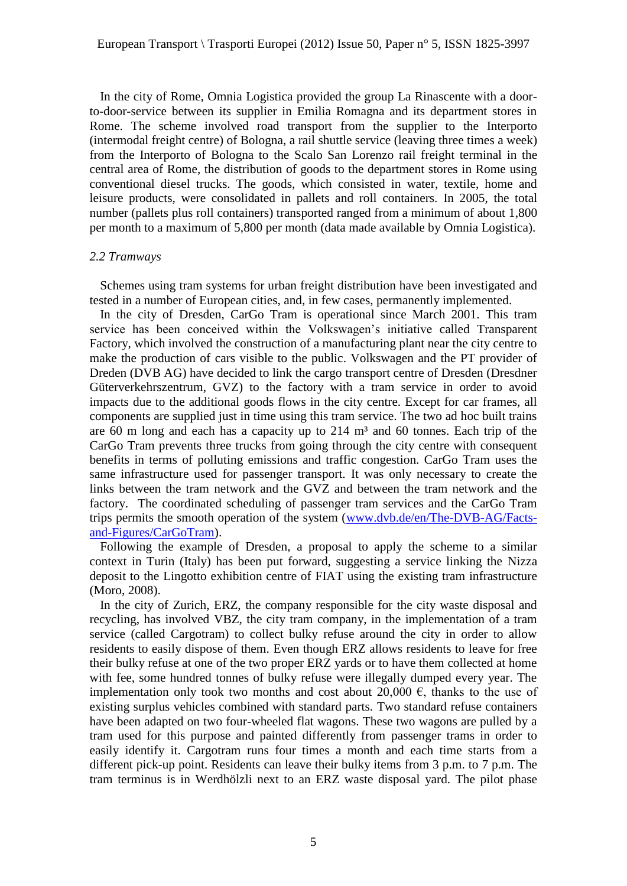In the city of Rome, Omnia Logistica provided the group La Rinascente with a doorto-door-service between its supplier in Emilia Romagna and its department stores in Rome. The scheme involved road transport from the supplier to the Interporto (intermodal freight centre) of Bologna, a rail shuttle service (leaving three times a week) from the Interporto of Bologna to the Scalo San Lorenzo rail freight terminal in the central area of Rome, the distribution of goods to the department stores in Rome using conventional diesel trucks. The goods, which consisted in water, textile, home and leisure products, were consolidated in pallets and roll containers. In 2005, the total number (pallets plus roll containers) transported ranged from a minimum of about 1,800 per month to a maximum of 5,800 per month (data made available by Omnia Logistica).

#### *2.2 Tramways*

Schemes using tram systems for urban freight distribution have been investigated and tested in a number of European cities, and, in few cases, permanently implemented.

In the city of Dresden, CarGo Tram is operational since March 2001. This tram service has been conceived within the Volkswagen's initiative called Transparent Factory, which involved the construction of a manufacturing plant near the city centre to make the production of cars visible to the public. Volkswagen and the PT provider of Dreden (DVB AG) have decided to link the cargo transport centre of Dresden (Dresdner Güterverkehrszentrum, GVZ) to the factory with a tram service in order to avoid impacts due to the additional goods flows in the city centre. Except for car frames, all components are supplied just in time using this tram service. The two ad hoc built trains are 60 m long and each has a capacity up to  $214 \text{ m}^3$  and 60 tonnes. Each trip of the CarGo Tram prevents three trucks from going through the city centre with consequent benefits in terms of polluting emissions and traffic congestion. CarGo Tram uses the same infrastructure used for passenger transport. It was only necessary to create the links between the tram network and the GVZ and between the tram network and the factory. The coordinated scheduling of passenger tram services and the CarGo Tram trips permits the smooth operation of the system [\(www.dvb.de/en/The-DVB-AG/Facts](http://www.dvb.de/en/The-DVB-AG/Facts-and-Figures/CarGoTram)[and-Figures/CarGoTram\)](http://www.dvb.de/en/The-DVB-AG/Facts-and-Figures/CarGoTram).

Following the example of Dresden, a proposal to apply the scheme to a similar context in Turin (Italy) has been put forward, suggesting a service linking the Nizza deposit to the Lingotto exhibition centre of FIAT using the existing tram infrastructure (Moro, 2008).

In the city of Zurich, ERZ, the company responsible for the city waste disposal and recycling, has involved VBZ, the city tram company, in the implementation of a tram service (called Cargotram) to collect bulky refuse around the city in order to allow residents to easily dispose of them. Even though ERZ allows residents to leave for free their bulky refuse at one of the two proper ERZ yards or to have them collected at home with fee, some hundred tonnes of bulky refuse were illegally dumped every year. The implementation only took two months and cost about 20,000  $\epsilon$ , thanks to the use of existing surplus vehicles combined with standard parts. Two standard refuse containers have been adapted on two four-wheeled flat wagons. These two wagons are pulled by a tram used for this purpose and painted differently from passenger trams in order to easily identify it. Cargotram runs four times a month and each time starts from a different pick-up point. Residents can leave their bulky items from 3 p.m. to 7 p.m. The tram terminus is in Werdhölzli next to an ERZ waste disposal yard. The pilot phase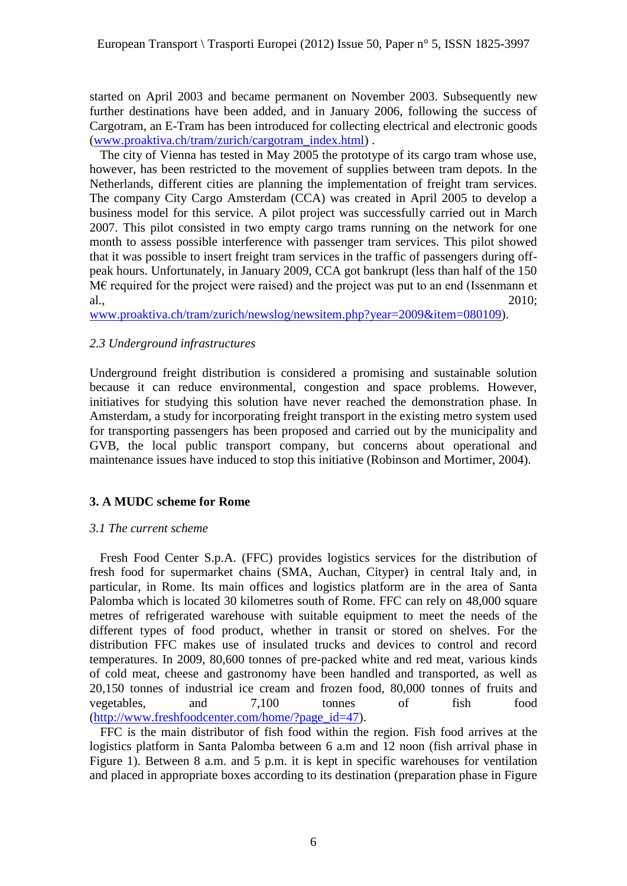started on April 2003 and became permanent on November 2003. Subsequently new further destinations have been added, and in January 2006, following the success of Cargotram, an E-Tram has been introduced for collecting electrical and electronic goods [\(www.proaktiva.ch/tram/zurich/cargotram\\_index.html\)](http://www.proaktiva.ch/tram/zurich/cargotram_index.html) .

The city of Vienna has tested in May 2005 the prototype of its cargo tram whose use, however, has been restricted to the movement of supplies between tram depots. In the Netherlands, different cities are planning the implementation of freight tram services. The company City Cargo Amsterdam (CCA) was created in April 2005 to develop a business model for this service. A pilot project was successfully carried out in March 2007. This pilot consisted in two empty cargo trams running on the network for one month to assess possible interference with passenger tram services. This pilot showed that it was possible to insert freight tram services in the traffic of passengers during offpeak hours. Unfortunately, in January 2009, CCA got bankrupt (less than half of the 150 M€ required for the project were raised) and the project was put to an end (Issenmann et al., 2010;

[www.proaktiva.ch/tram/zurich/newslog/newsitem.php?year=2009&item=080109\)](http://www.proaktiva.ch/tram/zurich/newslog/newsitem.php?year=2009&item=080109).

## *2.3 Underground infrastructures*

Underground freight distribution is considered a promising and sustainable solution because it can reduce environmental, congestion and space problems. However, initiatives for studying this solution have never reached the demonstration phase. In Amsterdam, a study for incorporating freight transport in the existing metro system used for transporting passengers has been proposed and carried out by the municipality and GVB, the local public transport company, but concerns about operational and maintenance issues have induced to stop this initiative (Robinson and Mortimer, 2004).

## **3. A MUDC scheme for Rome**

## *3.1 The current scheme*

Fresh Food Center S.p.A. (FFC) provides logistics services for the distribution of fresh food for supermarket chains (SMA, Auchan, Cityper) in central Italy and, in particular, in Rome. Its main offices and logistics platform are in the area of Santa Palomba which is located 30 kilometres south of Rome. FFC can rely on 48,000 square metres of refrigerated warehouse with suitable equipment to meet the needs of the different types of food product, whether in transit or stored on shelves. For the distribution FFC makes use of insulated trucks and devices to control and record temperatures. In 2009, 80,600 tonnes of pre-packed white and red meat, various kinds of cold meat, cheese and gastronomy have been handled and transported, as well as 20,150 tonnes of industrial ice cream and frozen food, 80,000 tonnes of fruits and vegetables, and 7,100 tonnes of fish food [\(http://www.freshfoodcenter.com/home/?page\\_id=47\)](http://www.freshfoodcenter.com/home/?page_id=47).

FFC is the main distributor of fish food within the region. Fish food arrives at the logistics platform in Santa Palomba between 6 a.m and 12 noon (fish arrival phase in Figure 1). Between 8 a.m. and 5 p.m. it is kept in specific warehouses for ventilation and placed in appropriate boxes according to its destination (preparation phase in Figure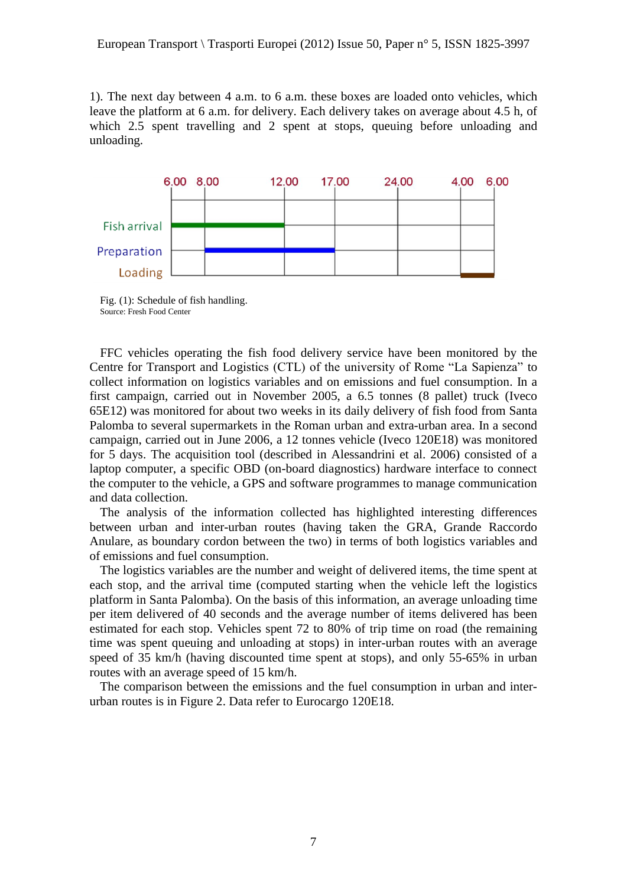1). The next day between 4 a.m. to 6 a.m. these boxes are loaded onto vehicles, which leave the platform at 6 a.m. for delivery. Each delivery takes on average about 4.5 h, of which 2.5 spent travelling and 2 spent at stops, queuing before unloading and unloading.



Fig. (1): Schedule of fish handling. Source: Fresh Food Center

FFC vehicles operating the fish food delivery service have been monitored by the Centre for Transport and Logistics (CTL) of the university of Rome "La Sapienza" to collect information on logistics variables and on emissions and fuel consumption. In a first campaign, carried out in November 2005, a 6.5 tonnes (8 pallet) truck (Iveco 65E12) was monitored for about two weeks in its daily delivery of fish food from Santa Palomba to several supermarkets in the Roman urban and extra-urban area. In a second campaign, carried out in June 2006, a 12 tonnes vehicle (Iveco 120E18) was monitored for 5 days. The acquisition tool (described in Alessandrini et al. 2006) consisted of a laptop computer, a specific OBD (on-board diagnostics) hardware interface to connect the computer to the vehicle, a GPS and software programmes to manage communication and data collection.

The analysis of the information collected has highlighted interesting differences between urban and inter-urban routes (having taken the GRA, Grande Raccordo Anulare, as boundary cordon between the two) in terms of both logistics variables and of emissions and fuel consumption.

The logistics variables are the number and weight of delivered items, the time spent at each stop, and the arrival time (computed starting when the vehicle left the logistics platform in Santa Palomba). On the basis of this information, an average unloading time per item delivered of 40 seconds and the average number of items delivered has been estimated for each stop. Vehicles spent 72 to 80% of trip time on road (the remaining time was spent queuing and unloading at stops) in inter-urban routes with an average speed of 35 km/h (having discounted time spent at stops), and only 55-65% in urban routes with an average speed of 15 km/h.

The comparison between the emissions and the fuel consumption in urban and interurban routes is in Figure 2. Data refer to Eurocargo 120E18.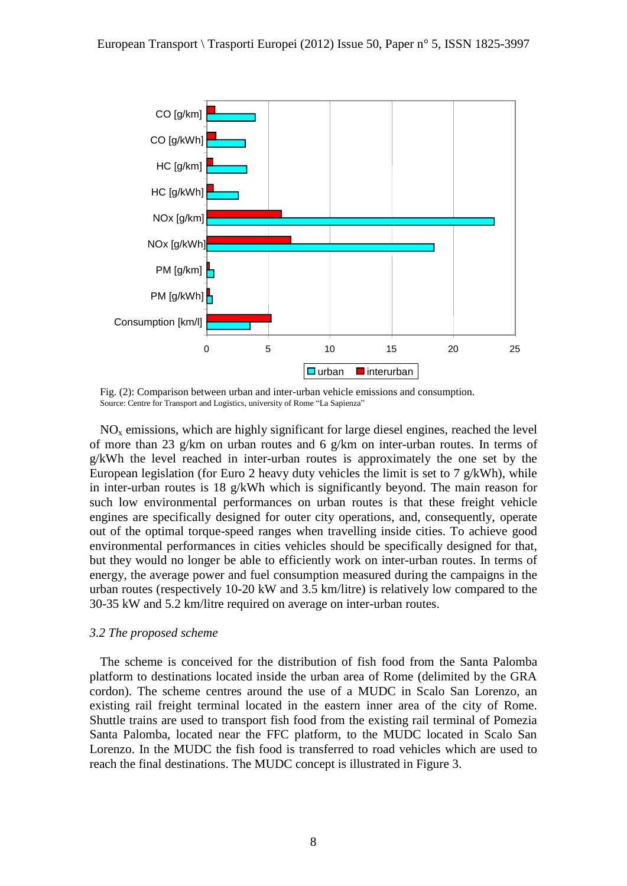

Fig. (2): Comparison between urban and inter-urban vehicle emissions and consumption. Source: Centre for Transport and Logistics, university of Rome "La Sapienza"

 $NO<sub>x</sub>$  emissions, which are highly significant for large diesel engines, reached the level of more than 23 g/km on urban routes and 6 g/km on inter-urban routes. In terms of g/kWh the level reached in inter-urban routes is approximately the one set by the European legislation (for Euro 2 heavy duty vehicles the limit is set to 7 g/kWh), while in inter-urban routes is 18  $g/kWh$  which is significantly beyond. The main reason for such low environmental performances on urban routes is that these freight vehicle engines are specifically designed for outer city operations, and, consequently, operate out of the optimal torque-speed ranges when travelling inside cities. To achieve good environmental performances in cities vehicles should be specifically designed for that, but they would no longer be able to efficiently work on inter-urban routes. In terms of energy, the average power and fuel consumption measured during the campaigns in the urban routes (respectively 10-20 kW and 3.5 km/litre) is relatively low compared to the 30-35 kW and 5.2 km/litre required on average on inter-urban routes.

#### *3.2 The proposed scheme*

The scheme is conceived for the distribution of fish food from the Santa Palomba platform to destinations located inside the urban area of Rome (delimited by the GRA cordon). The scheme centres around the use of a MUDC in Scalo San Lorenzo, an existing rail freight terminal located in the eastern inner area of the city of Rome. Shuttle trains are used to transport fish food from the existing rail terminal of Pomezia Santa Palomba, located near the FFC platform, to the MUDC located in Scalo San Lorenzo. In the MUDC the fish food is transferred to road vehicles which are used to reach the final destinations. The MUDC concept is illustrated in Figure 3.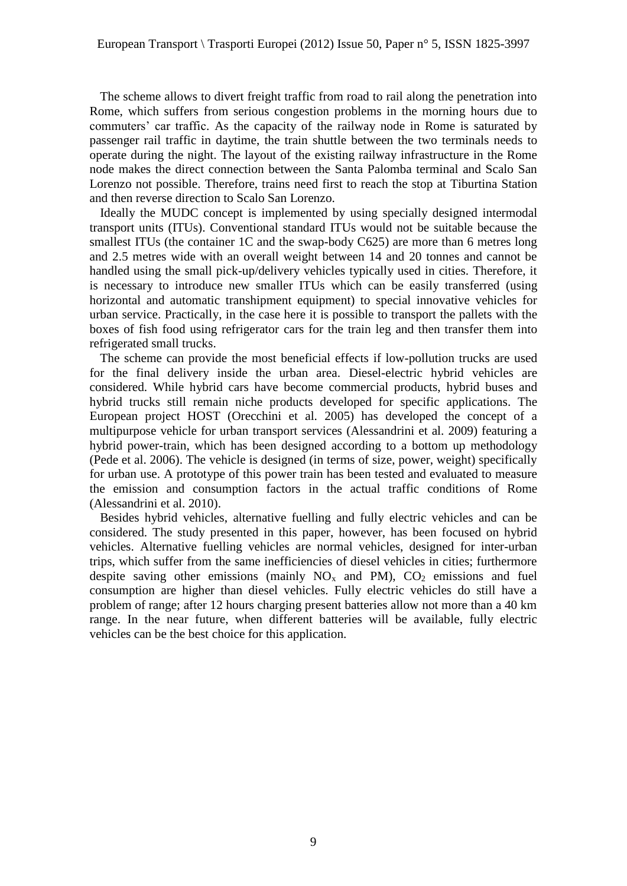The scheme allows to divert freight traffic from road to rail along the penetration into Rome, which suffers from serious congestion problems in the morning hours due to commuters' car traffic. As the capacity of the railway node in Rome is saturated by passenger rail traffic in daytime, the train shuttle between the two terminals needs to operate during the night. The layout of the existing railway infrastructure in the Rome node makes the direct connection between the Santa Palomba terminal and Scalo San Lorenzo not possible. Therefore, trains need first to reach the stop at Tiburtina Station and then reverse direction to Scalo San Lorenzo.

Ideally the MUDC concept is implemented by using specially designed intermodal transport units (ITUs). Conventional standard ITUs would not be suitable because the smallest ITUs (the container 1C and the swap-body C625) are more than 6 metres long and 2.5 metres wide with an overall weight between 14 and 20 tonnes and cannot be handled using the small pick-up/delivery vehicles typically used in cities. Therefore, it is necessary to introduce new smaller ITUs which can be easily transferred (using horizontal and automatic transhipment equipment) to special innovative vehicles for urban service. Practically, in the case here it is possible to transport the pallets with the boxes of fish food using refrigerator cars for the train leg and then transfer them into refrigerated small trucks.

The scheme can provide the most beneficial effects if low-pollution trucks are used for the final delivery inside the urban area. Diesel-electric hybrid vehicles are considered. While hybrid cars have become commercial products, hybrid buses and hybrid trucks still remain niche products developed for specific applications. The European project HOST (Orecchini et al. 2005) has developed the concept of a multipurpose vehicle for urban transport services (Alessandrini et al. 2009) featuring a hybrid power-train, which has been designed according to a bottom up methodology (Pede et al. 2006). The vehicle is designed (in terms of size, power, weight) specifically for urban use. A prototype of this power train has been tested and evaluated to measure the emission and consumption factors in the actual traffic conditions of Rome (Alessandrini et al. 2010).

Besides hybrid vehicles, alternative fuelling and fully electric vehicles and can be considered. The study presented in this paper, however, has been focused on hybrid vehicles. Alternative fuelling vehicles are normal vehicles, designed for inter-urban trips, which suffer from the same inefficiencies of diesel vehicles in cities; furthermore despite saving other emissions (mainly  $NO_x$  and PM),  $CO_2$  emissions and fuel consumption are higher than diesel vehicles. Fully electric vehicles do still have a problem of range; after 12 hours charging present batteries allow not more than a 40 km range. In the near future, when different batteries will be available, fully electric vehicles can be the best choice for this application.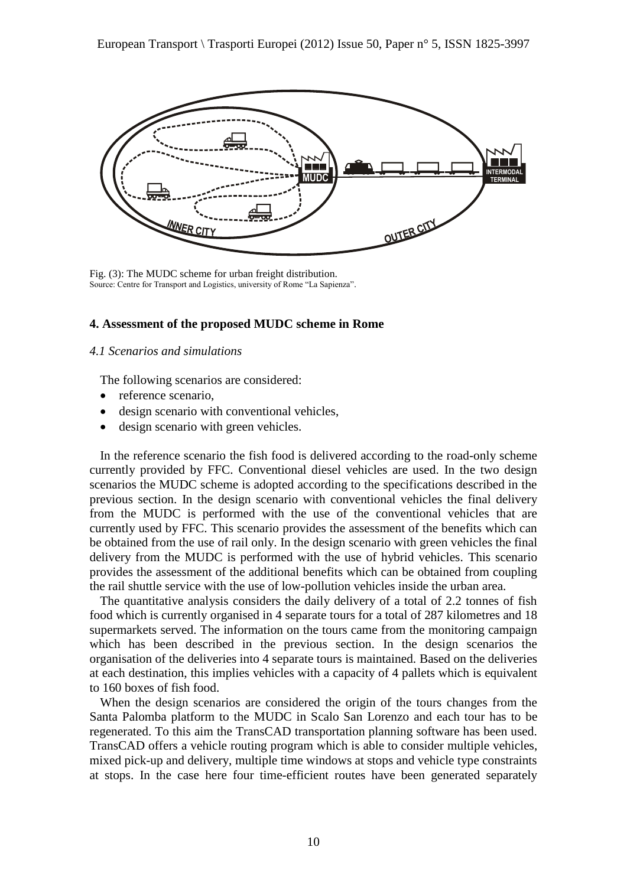

Fig. (3): The MUDC scheme for urban freight distribution. Source: Centre for Transport and Logistics, university of Rome "La Sapienza".

#### **4. Assessment of the proposed MUDC scheme in Rome**

#### *4.1 Scenarios and simulations*

The following scenarios are considered:

- reference scenario,
- design scenario with conventional vehicles,
- design scenario with green vehicles.

In the reference scenario the fish food is delivered according to the road-only scheme currently provided by FFC. Conventional diesel vehicles are used. In the two design scenarios the MUDC scheme is adopted according to the specifications described in the previous section. In the design scenario with conventional vehicles the final delivery from the MUDC is performed with the use of the conventional vehicles that are currently used by FFC. This scenario provides the assessment of the benefits which can be obtained from the use of rail only. In the design scenario with green vehicles the final delivery from the MUDC is performed with the use of hybrid vehicles. This scenario provides the assessment of the additional benefits which can be obtained from coupling the rail shuttle service with the use of low-pollution vehicles inside the urban area.

The quantitative analysis considers the daily delivery of a total of 2.2 tonnes of fish food which is currently organised in 4 separate tours for a total of 287 kilometres and 18 supermarkets served. The information on the tours came from the monitoring campaign which has been described in the previous section. In the design scenarios the organisation of the deliveries into 4 separate tours is maintained. Based on the deliveries at each destination, this implies vehicles with a capacity of 4 pallets which is equivalent to 160 boxes of fish food.

When the design scenarios are considered the origin of the tours changes from the Santa Palomba platform to the MUDC in Scalo San Lorenzo and each tour has to be regenerated. To this aim the TransCAD transportation planning software has been used. TransCAD offers a vehicle routing program which is able to consider multiple vehicles, mixed pick-up and delivery, multiple time windows at stops and vehicle type constraints at stops. In the case here four time-efficient routes have been generated separately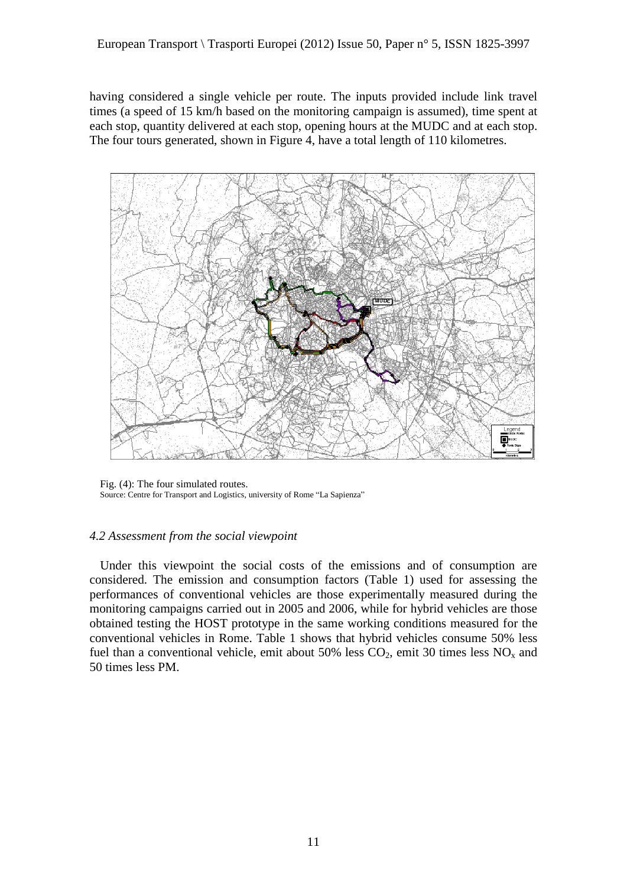having considered a single vehicle per route. The inputs provided include link travel times (a speed of 15 km/h based on the monitoring campaign is assumed), time spent at each stop, quantity delivered at each stop, opening hours at the MUDC and at each stop. The four tours generated, shown in Figure 4, have a total length of 110 kilometres.



Fig. (4): The four simulated routes. Source: Centre for Transport and Logistics, university of Rome "La Sapienza"

## *4.2 Assessment from the social viewpoint*

Under this viewpoint the social costs of the emissions and of consumption are considered. The emission and consumption factors (Table 1) used for assessing the performances of conventional vehicles are those experimentally measured during the monitoring campaigns carried out in 2005 and 2006, while for hybrid vehicles are those obtained testing the HOST prototype in the same working conditions measured for the conventional vehicles in Rome. Table 1 shows that hybrid vehicles consume 50% less fuel than a conventional vehicle, emit about 50% less  $CO_2$ , emit 30 times less  $NO<sub>x</sub>$  and 50 times less PM.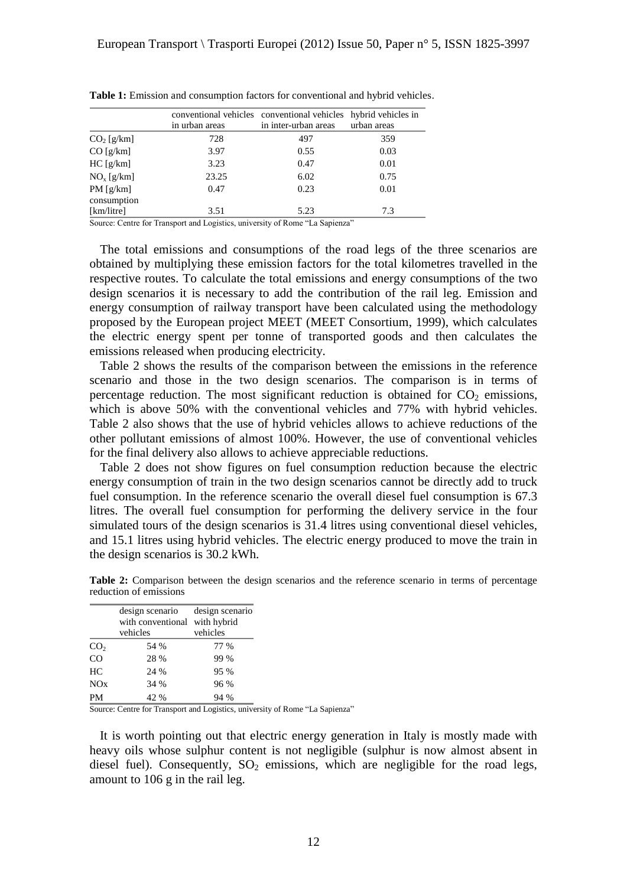|                         | in urban areas | conventional vehicles conventional vehicles<br>in inter-urban areas | hybrid vehicles in<br>urban areas |
|-------------------------|----------------|---------------------------------------------------------------------|-----------------------------------|
| $CO2$ [g/km]            | 728            | 497                                                                 | 359                               |
| CO[g/km]                | 3.97           | 0.55                                                                | 0.03                              |
| HC[g/km]                | 3.23           | 0.47                                                                | 0.01                              |
| $NOx$ [g/km]            | 23.25          | 6.02                                                                | 0.75                              |
| PM[g/km]<br>consumption | 0.47           | 0.23                                                                | 0.01                              |
| [km/litre]              | 3.51           | 5.23                                                                | 7.3                               |

**Table 1:** Emission and consumption factors for conventional and hybrid vehicles.

Source: Centre for Transport and Logistics, university of Rome "La Sapienza"

The total emissions and consumptions of the road legs of the three scenarios are obtained by multiplying these emission factors for the total kilometres travelled in the respective routes. To calculate the total emissions and energy consumptions of the two design scenarios it is necessary to add the contribution of the rail leg. Emission and energy consumption of railway transport have been calculated using the methodology proposed by the European project MEET (MEET Consortium, 1999), which calculates the electric energy spent per tonne of transported goods and then calculates the emissions released when producing electricity.

Table 2 shows the results of the comparison between the emissions in the reference scenario and those in the two design scenarios. The comparison is in terms of percentage reduction. The most significant reduction is obtained for  $CO<sub>2</sub>$  emissions, which is above 50% with the conventional vehicles and 77% with hybrid vehicles. Table 2 also shows that the use of hybrid vehicles allows to achieve reductions of the other pollutant emissions of almost 100%. However, the use of conventional vehicles for the final delivery also allows to achieve appreciable reductions.

Table 2 does not show figures on fuel consumption reduction because the electric energy consumption of train in the two design scenarios cannot be directly add to truck fuel consumption. In the reference scenario the overall diesel fuel consumption is 67.3 litres. The overall fuel consumption for performing the delivery service in the four simulated tours of the design scenarios is 31.4 litres using conventional diesel vehicles, and 15.1 litres using hybrid vehicles. The electric energy produced to move the train in the design scenarios is 30.2 kWh.

**Table 2:** Comparison between the design scenarios and the reference scenario in terms of percentage reduction of emissions

|                 | design scenario<br>with conventional | design scenario<br>with hybrid |  |  |
|-----------------|--------------------------------------|--------------------------------|--|--|
|                 | vehicles                             | vehicles                       |  |  |
| CO <sub>2</sub> | 54 %                                 | 77 %                           |  |  |
| $\overline{C}O$ | 28 %                                 | 99 %                           |  |  |
| HC              | 24 %                                 | 95 %                           |  |  |
| NOx             | 34 %                                 | 96 %                           |  |  |
| PM              | 42 %                                 | 94 %                           |  |  |

Source: Centre for Transport and Logistics, university of Rome "La Sapienza"

It is worth pointing out that electric energy generation in Italy is mostly made with heavy oils whose sulphur content is not negligible (sulphur is now almost absent in diesel fuel). Consequently,  $SO_2$  emissions, which are negligible for the road legs, amount to 106 g in the rail leg.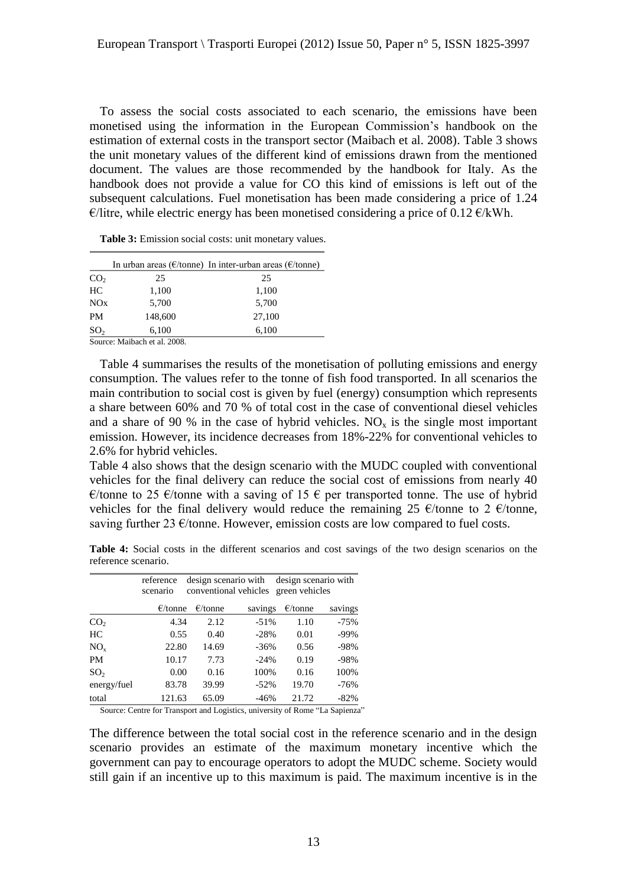To assess the social costs associated to each scenario, the emissions have been monetised using the information in the European Commission"s handbook on the estimation of external costs in the transport sector (Maibach et al. 2008). Table 3 shows the unit monetary values of the different kind of emissions drawn from the mentioned document. The values are those recommended by the handbook for Italy. As the handbook does not provide a value for CO this kind of emissions is left out of the subsequent calculations. Fuel monetisation has been made considering a price of 1.24  $\epsilon$ /litre, while electric energy has been monetised considering a price of 0.12  $\epsilon$ /kWh.

|                 |                              | In urban areas ( $\epsilon$ /tonne) In inter-urban areas ( $\epsilon$ /tonne) |
|-----------------|------------------------------|-------------------------------------------------------------------------------|
| CO <sub>2</sub> | 25                           | 25                                                                            |
| HC              | 1,100                        | 1,100                                                                         |
| NOx             | 5,700                        | 5,700                                                                         |
| <b>PM</b>       | 148,600                      | 27,100                                                                        |
| SO <sub>2</sub> | 6,100                        | 6,100                                                                         |
|                 | Source: Maibach et al. 2008. |                                                                               |

Table 3: Emission social costs: unit monetary values.

Table 4 summarises the results of the monetisation of polluting emissions and energy consumption. The values refer to the tonne of fish food transported. In all scenarios the main contribution to social cost is given by fuel (energy) consumption which represents a share between 60% and 70 % of total cost in the case of conventional diesel vehicles and a share of 90 % in the case of hybrid vehicles.  $NO<sub>x</sub>$  is the single most important emission. However, its incidence decreases from 18%-22% for conventional vehicles to 2.6% for hybrid vehicles.

Table 4 also shows that the design scenario with the MUDC coupled with conventional vehicles for the final delivery can reduce the social cost of emissions from nearly 40 €/tonne to 25 €/tonne with a saving of 15 € per transported tonne. The use of hybrid vehicles for the final delivery would reduce the remaining 25  $\epsilon$ /tonne to 2  $\epsilon$ /tonne, saving further 23  $\epsilon$ /tonne. However, emission costs are low compared to fuel costs.

|                     |  |  |  |  |  |  | <b>Table 4:</b> Social costs in the different scenarios and cost savings of the two design scenarios on the |  |
|---------------------|--|--|--|--|--|--|-------------------------------------------------------------------------------------------------------------|--|
| reference scenario. |  |  |  |  |  |  |                                                                                                             |  |

|                 | reference<br>scenario |                   | design scenario with design scenario with<br>conventional vehicles green vehicles |                   |         |
|-----------------|-----------------------|-------------------|-----------------------------------------------------------------------------------|-------------------|---------|
|                 | $\epsilon$ /tonne     | $\epsilon$ /tonne | savings                                                                           | $\epsilon$ /tonne | savings |
| CO <sub>2</sub> | 4.34                  | 2.12              | $-51%$                                                                            | 1.10              | $-75%$  |
| HC              | 0.55                  | 0.40              | $-28%$                                                                            | 0.01              | $-99%$  |
| $NO_{x}$        | 22.80                 | 14.69             | $-36%$                                                                            | 0.56              | $-98%$  |
| PM              | 10.17                 | 7.73              | $-24%$                                                                            | 0.19              | $-98%$  |
| SO <sub>2</sub> | 0.00                  | 0.16              | 100%                                                                              | 0.16              | 100%    |
| energy/fuel     | 83.78                 | 39.99             | $-52\%$                                                                           | 19.70             | $-76%$  |
| total           | 121.63                | 65.09             | $-46%$                                                                            | 21.72             | $-82%$  |

Source: Centre for Transport and Logistics, university of Rome "La Sapienza"

The difference between the total social cost in the reference scenario and in the design scenario provides an estimate of the maximum monetary incentive which the government can pay to encourage operators to adopt the MUDC scheme. Society would still gain if an incentive up to this maximum is paid. The maximum incentive is in the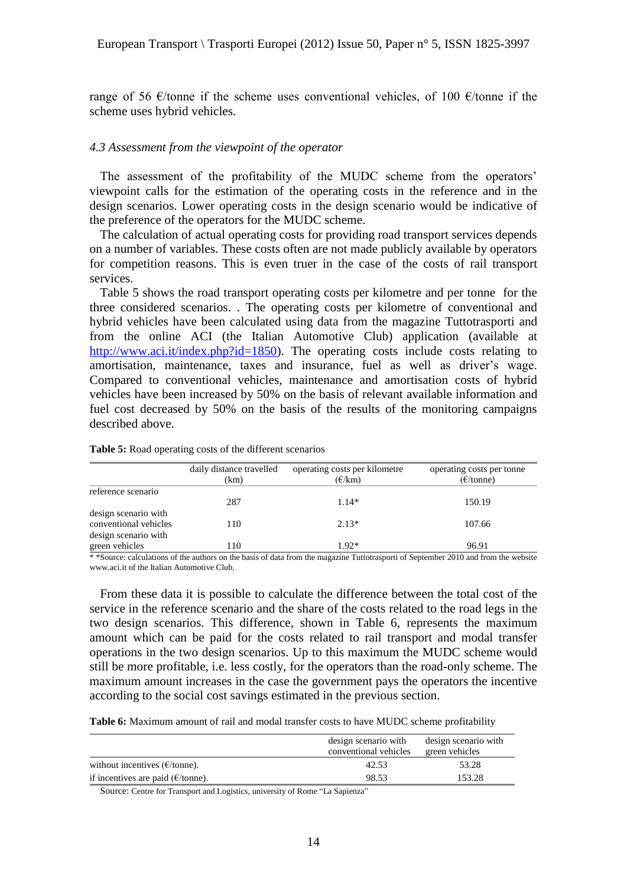range of 56  $\epsilon$ /tonne if the scheme uses conventional vehicles, of 100  $\epsilon$ /tonne if the scheme uses hybrid vehicles.

#### *4.3 Assessment from the viewpoint of the operator*

The assessment of the profitability of the MUDC scheme from the operators' viewpoint calls for the estimation of the operating costs in the reference and in the design scenarios. Lower operating costs in the design scenario would be indicative of the preference of the operators for the MUDC scheme.

The calculation of actual operating costs for providing road transport services depends on a number of variables. These costs often are not made publicly available by operators for competition reasons. This is even truer in the case of the costs of rail transport services.

Table 5 shows the road transport operating costs per kilometre and per tonne for the three considered scenarios. . The operating costs per kilometre of conventional and hybrid vehicles have been calculated using data from the magazine Tuttotrasporti and from the online ACI (the Italian Automotive Club) application (available at [http://www.aci.it/index.php?id=1850\)](http://www.aci.it/index.php?id=1850). The operating costs include costs relating to amortisation, maintenance, taxes and insurance, fuel as well as driver"s wage. Compared to conventional vehicles, maintenance and amortisation costs of hybrid vehicles have been increased by 50% on the basis of relevant available information and fuel cost decreased by 50% on the basis of the results of the monitoring campaigns described above.

|                                                                       | daily distance travelled | operating costs per kilometre | operating costs per tonne |
|-----------------------------------------------------------------------|--------------------------|-------------------------------|---------------------------|
|                                                                       | (km)                     | $(\epsilon/km)$               | $(\epsilon$ /tonne)       |
| reference scenario                                                    |                          |                               |                           |
|                                                                       | 287                      | $1.14*$                       | 150.19                    |
| design scenario with<br>conventional vehicles<br>design scenario with | 110                      | $2.13*$                       | 107.66                    |
| green vehicles                                                        | 110                      | $1.92*$                       | 96.91                     |

**Table 5:** Road operating costs of the different scenarios

\* \* Source: calculations of the authors on the basis of data from the magazine Tuttotrasporti of September 2010 and from the website www.aci.it of the Italian Automotive Club.

From these data it is possible to calculate the difference between the total cost of the service in the reference scenario and the share of the costs related to the road legs in the two design scenarios. This difference, shown in Table 6, represents the maximum amount which can be paid for the costs related to rail transport and modal transfer operations in the two design scenarios. Up to this maximum the MUDC scheme would still be more profitable, i.e. less costly, for the operators than the road-only scheme. The maximum amount increases in the case the government pays the operators the incentive according to the social cost savings estimated in the previous section.

**Table 6:** Maximum amount of rail and modal transfer costs to have MUDC scheme profitability

|                                              | design scenario with<br>conventional vehicles | design scenario with<br>green vehicles |  |
|----------------------------------------------|-----------------------------------------------|----------------------------------------|--|
| without incentives $(E/tonne)$ .             | 42.53                                         | 53.28                                  |  |
| if incentives are paid ( $\epsilon$ /tonne). | 98.53                                         | 153.28                                 |  |

Source: Centre for Transport and Logistics, university of Rome "La Sapienza"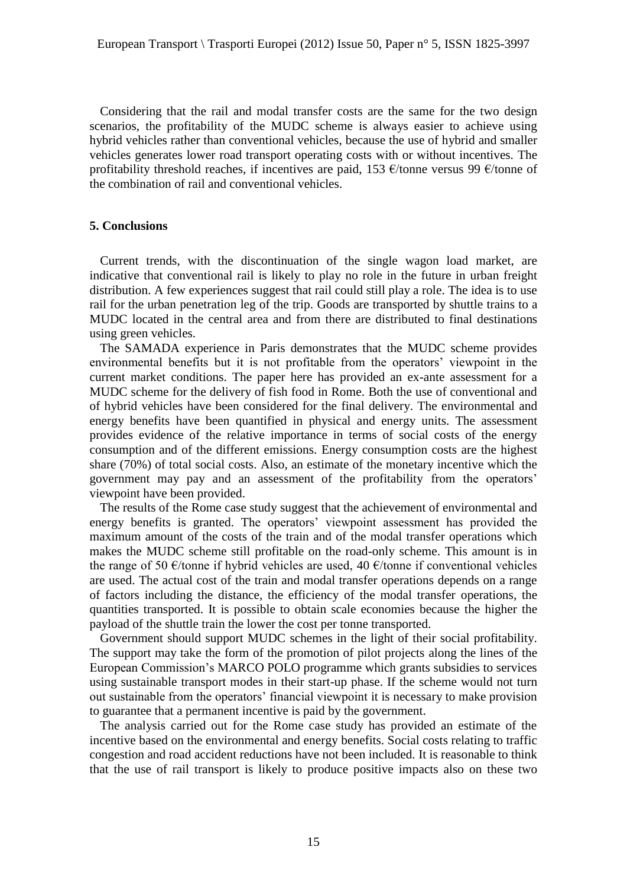Considering that the rail and modal transfer costs are the same for the two design scenarios, the profitability of the MUDC scheme is always easier to achieve using hybrid vehicles rather than conventional vehicles, because the use of hybrid and smaller vehicles generates lower road transport operating costs with or without incentives. The profitability threshold reaches, if incentives are paid, 153  $\epsilon$ /tonne versus 99  $\epsilon$ /tonne of the combination of rail and conventional vehicles.

#### **5. Conclusions**

Current trends, with the discontinuation of the single wagon load market, are indicative that conventional rail is likely to play no role in the future in urban freight distribution. A few experiences suggest that rail could still play a role. The idea is to use rail for the urban penetration leg of the trip. Goods are transported by shuttle trains to a MUDC located in the central area and from there are distributed to final destinations using green vehicles.

The SAMADA experience in Paris demonstrates that the MUDC scheme provides environmental benefits but it is not profitable from the operators' viewpoint in the current market conditions. The paper here has provided an ex-ante assessment for a MUDC scheme for the delivery of fish food in Rome. Both the use of conventional and of hybrid vehicles have been considered for the final delivery. The environmental and energy benefits have been quantified in physical and energy units. The assessment provides evidence of the relative importance in terms of social costs of the energy consumption and of the different emissions. Energy consumption costs are the highest share (70%) of total social costs. Also, an estimate of the monetary incentive which the government may pay and an assessment of the profitability from the operators' viewpoint have been provided.

The results of the Rome case study suggest that the achievement of environmental and energy benefits is granted. The operators' viewpoint assessment has provided the maximum amount of the costs of the train and of the modal transfer operations which makes the MUDC scheme still profitable on the road-only scheme. This amount is in the range of 50  $\epsilon$ /tonne if hybrid vehicles are used, 40  $\epsilon$ /tonne if conventional vehicles are used. The actual cost of the train and modal transfer operations depends on a range of factors including the distance, the efficiency of the modal transfer operations, the quantities transported. It is possible to obtain scale economies because the higher the payload of the shuttle train the lower the cost per tonne transported.

Government should support MUDC schemes in the light of their social profitability. The support may take the form of the promotion of pilot projects along the lines of the European Commission"s MARCO POLO programme which grants subsidies to services using sustainable transport modes in their start-up phase. If the scheme would not turn out sustainable from the operators" financial viewpoint it is necessary to make provision to guarantee that a permanent incentive is paid by the government.

The analysis carried out for the Rome case study has provided an estimate of the incentive based on the environmental and energy benefits. Social costs relating to traffic congestion and road accident reductions have not been included. It is reasonable to think that the use of rail transport is likely to produce positive impacts also on these two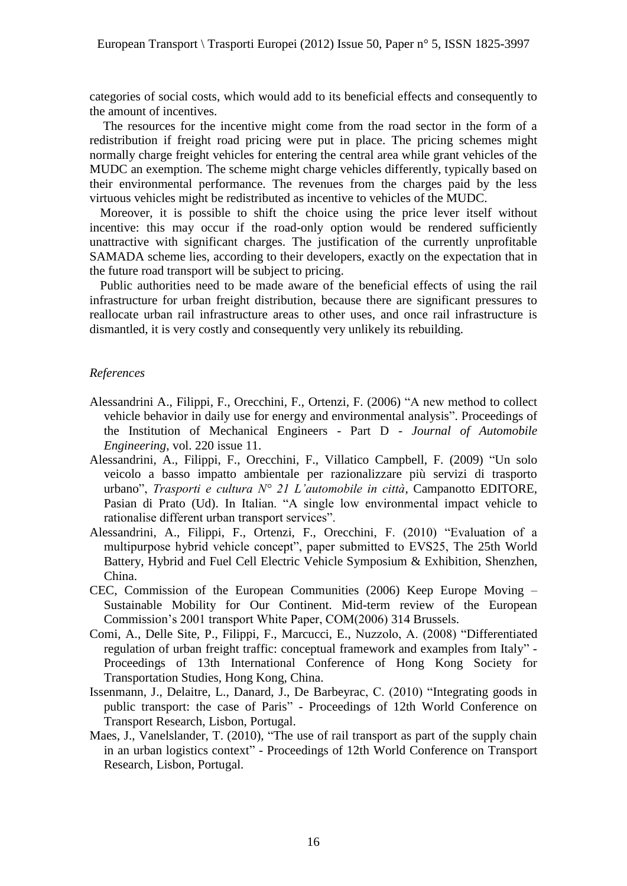categories of social costs, which would add to its beneficial effects and consequently to the amount of incentives.

The resources for the incentive might come from the road sector in the form of a redistribution if freight road pricing were put in place. The pricing schemes might normally charge freight vehicles for entering the central area while grant vehicles of the MUDC an exemption. The scheme might charge vehicles differently, typically based on their environmental performance. The revenues from the charges paid by the less virtuous vehicles might be redistributed as incentive to vehicles of the MUDC.

Moreover, it is possible to shift the choice using the price lever itself without incentive: this may occur if the road-only option would be rendered sufficiently unattractive with significant charges. The justification of the currently unprofitable SAMADA scheme lies, according to their developers, exactly on the expectation that in the future road transport will be subject to pricing.

Public authorities need to be made aware of the beneficial effects of using the rail infrastructure for urban freight distribution, because there are significant pressures to reallocate urban rail infrastructure areas to other uses, and once rail infrastructure is dismantled, it is very costly and consequently very unlikely its rebuilding.

#### *References*

- Alessandrini A., Filippi, F., Orecchini, F., Ortenzi, F. (2006) "A new method to collect vehicle behavior in daily use for energy and environmental analysis". Proceedings of the Institution of Mechanical Engineers - Part D - *Journal of Automobile Engineering*, vol. 220 issue 11.
- Alessandrini, A., Filippi, F., Orecchini, F., Villatico Campbell, F. (2009) "Un solo veicolo a basso impatto ambientale per razionalizzare più servizi di trasporto urbano", *Trasporti e cultura N° 21 L'automobile in città*, Campanotto EDITORE, Pasian di Prato (Ud). In Italian. "A single low environmental impact vehicle to rationalise different urban transport services".
- Alessandrini, A., Filippi, F., Ortenzi, F., Orecchini, F. (2010) "Evaluation of a multipurpose hybrid vehicle concept", paper submitted to EVS25, The 25th World Battery, Hybrid and Fuel Cell Electric Vehicle Symposium & Exhibition, Shenzhen, China.
- CEC, Commission of the European Communities (2006) Keep Europe Moving Sustainable Mobility for Our Continent. Mid-term review of the European Commission"s 2001 transport White Paper, COM(2006) 314 Brussels.
- Comi, A., Delle Site, P., Filippi, F., Marcucci, E., Nuzzolo, A. (2008) "Differentiated regulation of urban freight traffic: conceptual framework and examples from Italy" - Proceedings of 13th International Conference of Hong Kong Society for Transportation Studies, Hong Kong, China.
- Issenmann, J., Delaitre, L., Danard, J., De Barbeyrac, C. (2010) "Integrating goods in public transport: the case of Paris" - Proceedings of 12th World Conference on Transport Research, Lisbon, Portugal.
- Maes, J., Vanelslander, T. (2010), "The use of rail transport as part of the supply chain in an urban logistics context" - Proceedings of 12th World Conference on Transport Research, Lisbon, Portugal.